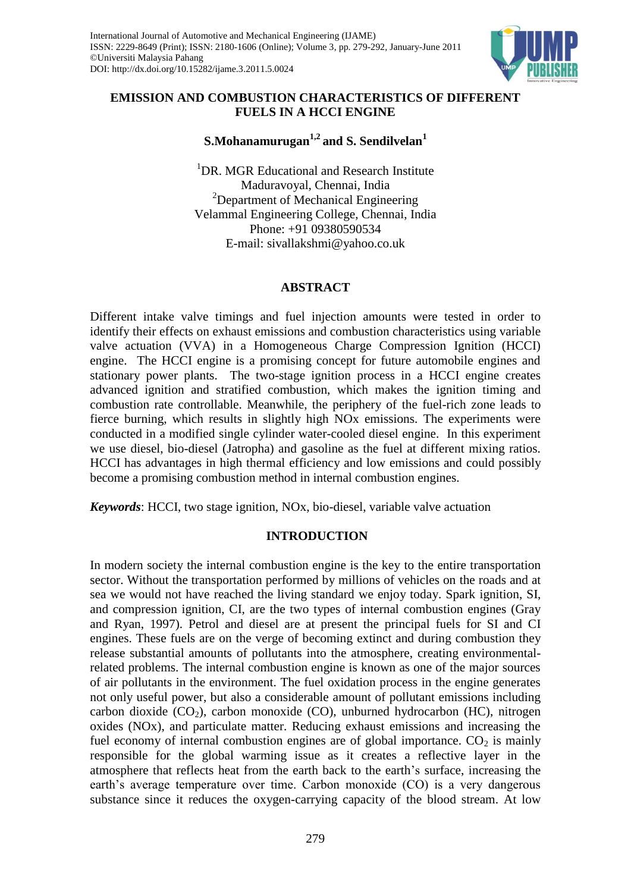

## **EMISSION AND COMBUSTION CHARACTERISTICS OF DIFFERENT FUELS IN A HCCI ENGINE**

# **S.Mohanamurugan1,2 and S. Sendilvelan<sup>1</sup>**

<sup>1</sup>DR. MGR Educational and Research Institute Maduravoyal, Chennai, India <sup>2</sup>Department of Mechanical Engineering Velammal Engineering College, Chennai, India Phone: +91 09380590534 E-mail: sivallakshmi@yahoo.co.uk

## **ABSTRACT**

Different intake valve timings and fuel injection amounts were tested in order to identify their effects on exhaust emissions and combustion characteristics using variable valve actuation (VVA) in a Homogeneous Charge Compression Ignition (HCCI) engine. The HCCI engine is a promising concept for future automobile engines and stationary power plants. The two-stage ignition process in a HCCI engine creates advanced ignition and stratified combustion, which makes the ignition timing and combustion rate controllable. Meanwhile, the periphery of the fuel-rich zone leads to fierce burning, which results in slightly high NOx emissions. The experiments were conducted in a modified single cylinder water-cooled diesel engine. In this experiment we use diesel, bio-diesel (Jatropha) and gasoline as the fuel at different mixing ratios. HCCI has advantages in high thermal efficiency and low emissions and could possibly become a promising combustion method in internal combustion engines.

*Keywords*: HCCI, two stage ignition, NOx, bio-diesel, variable valve actuation

## **INTRODUCTION**

In modern society the internal combustion engine is the key to the entire transportation sector. Without the transportation performed by millions of vehicles on the roads and at sea we would not have reached the living standard we enjoy today. Spark ignition, SI, and compression ignition, CI, are the two types of internal combustion engines (Gray and Ryan, 1997). Petrol and diesel are at present the principal fuels for SI and CI engines. These fuels are on the verge of becoming extinct and during combustion they release substantial amounts of pollutants into the atmosphere, creating environmentalrelated problems. The internal combustion engine is known as one of the major sources of air pollutants in the environment. The fuel oxidation process in the engine generates not only useful power, but also a considerable amount of pollutant emissions including carbon dioxide  $(CO<sub>2</sub>)$ , carbon monoxide  $(CO)$ , unburned hydrocarbon (HC), nitrogen oxides (NOx), and particulate matter. Reducing exhaust emissions and increasing the fuel economy of internal combustion engines are of global importance.  $CO<sub>2</sub>$  is mainly responsible for the global warming issue as it creates a reflective layer in the atmosphere that reflects heat from the earth back to the earth's surface, increasing the earth's average temperature over time. Carbon monoxide (CO) is a very dangerous substance since it reduces the oxygen-carrying capacity of the blood stream. At low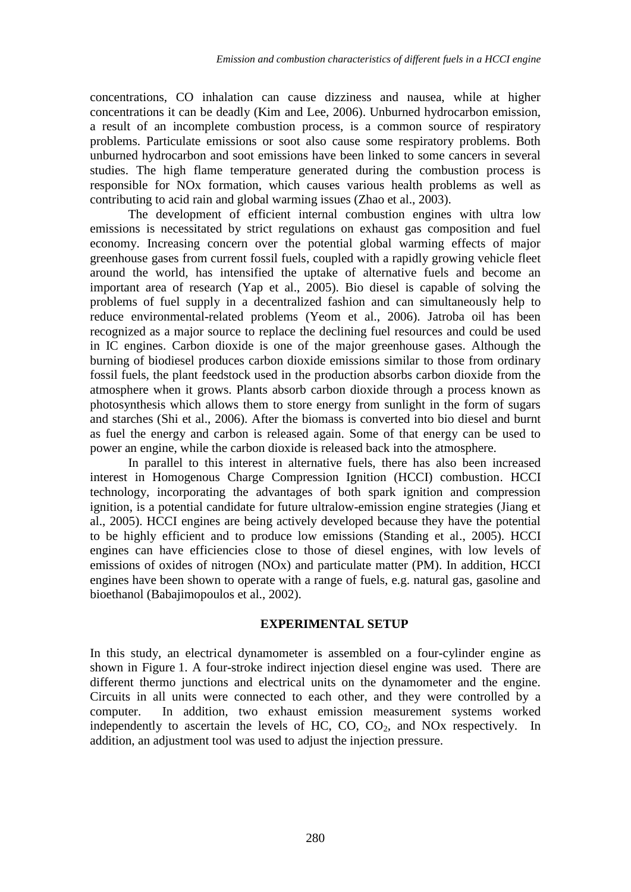concentrations, CO inhalation can cause dizziness and nausea, while at higher concentrations it can be deadly (Kim and Lee, 2006). Unburned hydrocarbon emission, a result of an incomplete combustion process, is a common source of respiratory problems. Particulate emissions or soot also cause some respiratory problems. Both unburned hydrocarbon and soot emissions have been linked to some cancers in several studies. The high flame temperature generated during the combustion process is responsible for NOx formation, which causes various health problems as well as contributing to acid rain and global warming issues (Zhao et al., 2003).

The development of efficient internal combustion engines with ultra low emissions is necessitated by strict regulations on exhaust gas composition and fuel economy. Increasing concern over the potential global warming effects of major greenhouse gases from current fossil fuels, coupled with a rapidly growing vehicle fleet around the world, has intensified the uptake of alternative fuels and become an important area of research (Yap et al., 2005). Bio diesel is capable of solving the problems of fuel supply in a decentralized fashion and can simultaneously help to reduce environmental-related problems (Yeom et al., 2006). Jatroba oil has been recognized as a major source to replace the declining fuel resources and could be used in IC engines. [Carbon dioxide](http://en.wikipedia.org/wiki/Carbon_dioxide) is one of the major [greenhouse gases.](http://en.wikipedia.org/wiki/Greenhouse_gas) Although the burning of biodiesel produces carbon dioxide emissions similar to those from ordinary fossil fuels, the [plant](http://en.wikipedia.org/wiki/Plant) feedstock used in the production absorbs carbon dioxide from the atmosphere when it grows. Plants absorb carbon dioxide through a process known as [photosynthesis](http://en.wikipedia.org/wiki/Photosynthesis) which allows them to store energy from sunlight in the form of sugars and starches (Shi et al., 2006). After the [biomass](http://en.wikipedia.org/wiki/Biomass) is converted into bio diesel and burnt as fuel the energy and carbon is released again. Some of that energy can be used to power an engine, while the carbon dioxide is released back into the atmosphere.

In parallel to this interest in alternative fuels, there has also been increased interest in Homogenous Charge Compression Ignition (HCCI) combustion. HCCI technology, incorporating the advantages of both spark ignition and compression ignition, is a potential candidate for future ultralow-emission engine strategies (Jiang et al., 2005). HCCI engines are being actively developed because they have the potential to be highly efficient and to produce low emissions (Standing et al., 2005). HCCI engines can have efficiencies close to those of diesel engines, with low levels of emissions of oxides of nitrogen (NOx) and particulate matter (PM). In addition, HCCI engines have been shown to operate with a range of fuels, e.g. natural gas, gasoline and bioethanol (Babajimopoulos et al., 2002).

#### **EXPERIMENTAL SETUP**

In this study, an electrical dynamometer is assembled on a four-cylinder engine as shown in Figure 1. A four-stroke indirect injection diesel engine was used. There are different thermo junctions and electrical units on the dynamometer and the engine. Circuits in all units were connected to each other, and they were controlled by a computer. In addition, two exhaust emission measurement systems worked independently to ascertain the levels of HC,  $CO$ ,  $CO<sub>2</sub>$ , and NO<sub>x</sub> respectively. In addition, an adjustment tool was used to adjust the injection pressure.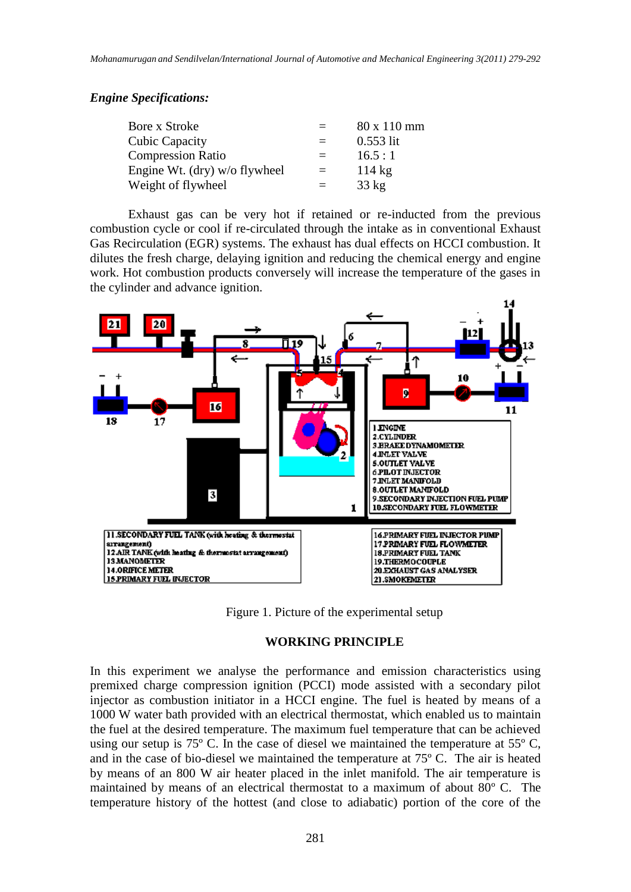### *Engine Specifications:*

| Bore x Stroke                 | $=$      | 80 x 110 mm      |
|-------------------------------|----------|------------------|
| <b>Cubic Capacity</b>         | $=$      | $0.553$ lit      |
| <b>Compression Ratio</b>      | $=$      | 16.5:1           |
| Engine Wt. (dry) w/o flywheel | $\equiv$ | $114 \text{ kg}$ |
| Weight of flywheel            | $=$      | $33 \text{ kg}$  |

Exhaust gas can be very hot if retained or re-inducted from the previous combustion cycle or cool if re-circulated through the intake as in conventional Exhaust Gas Recirculation (EGR) systems. The exhaust has dual effects on HCCI combustion. It dilutes the fresh charge, delaying ignition and reducing the chemical energy and engine work. Hot combustion products conversely will increase the temperature of the gases in the cylinder and advance ignition.



Figure 1. Picture of the experimental setup

#### **WORKING PRINCIPLE**

In this experiment we analyse the performance and emission characteristics using premixed charge compression ignition (PCCI) mode assisted with a secondary pilot injector as combustion initiator in a HCCI engine. The fuel is heated by means of a 1000 W water bath provided with an electrical thermostat, which enabled us to maintain the fuel at the desired temperature. The maximum fuel temperature that can be achieved using our setup is  $75^{\circ}$  C. In the case of diesel we maintained the temperature at  $55^{\circ}$  C, and in the case of bio-diesel we maintained the temperature at 75º C. The air is heated by means of an 800 W air heater placed in the inlet manifold. The air temperature is maintained by means of an electrical thermostat to a maximum of about 80º C. The temperature history of the hottest (and close to adiabatic) portion of the core of the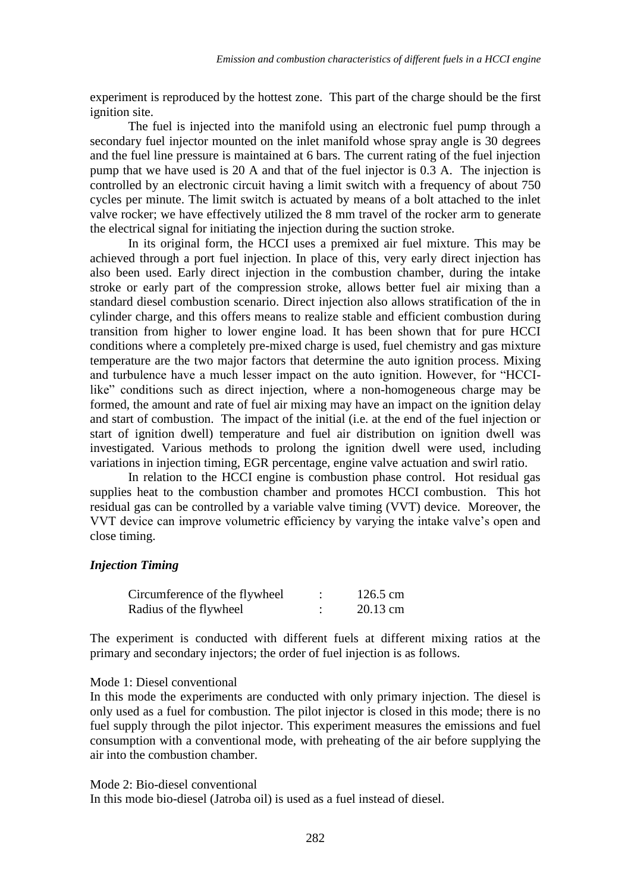experiment is reproduced by the hottest zone. This part of the charge should be the first ignition site.

The fuel is injected into the manifold using an electronic fuel pump through a secondary fuel injector mounted on the inlet manifold whose spray angle is 30 degrees and the fuel line pressure is maintained at 6 bars. The current rating of the fuel injection pump that we have used is 20 A and that of the fuel injector is 0.3 A. The injection is controlled by an electronic circuit having a limit switch with a frequency of about 750 cycles per minute. The limit switch is actuated by means of a bolt attached to the inlet valve rocker; we have effectively utilized the 8 mm travel of the rocker arm to generate the electrical signal for initiating the injection during the suction stroke.

In its original form, the HCCI uses a premixed air fuel mixture. This may be achieved through a port fuel injection. In place of this, very early direct injection has also been used. Early direct injection in the combustion chamber, during the intake stroke or early part of the compression stroke, allows better fuel air mixing than a standard diesel combustion scenario. Direct injection also allows stratification of the in cylinder charge, and this offers means to realize stable and efficient combustion during transition from higher to lower engine load. It has been shown that for pure HCCI conditions where a completely pre-mixed charge is used, fuel chemistry and gas mixture temperature are the two major factors that determine the auto ignition process. Mixing and turbulence have a much lesser impact on the auto ignition. However, for "HCCIlike" conditions such as direct injection, where a non-homogeneous charge may be formed, the amount and rate of fuel air mixing may have an impact on the ignition delay and start of combustion. The impact of the initial (i.e. at the end of the fuel injection or start of ignition dwell) temperature and fuel air distribution on ignition dwell was investigated. Various methods to prolong the ignition dwell were used, including variations in injection timing, EGR percentage, engine valve actuation and swirl ratio.

In relation to the HCCI engine is combustion phase control. Hot residual gas supplies heat to the combustion chamber and promotes HCCI combustion. This hot residual gas can be controlled by a variable valve timing (VVT) device. Moreover, the VVT device can improve volumetric efficiency by varying the intake valve's open and close timing.

### *Injection Timing*

| Circumference of the flywheel | $126.5$ cm |
|-------------------------------|------------|
| Radius of the flywheel        | 20.13 cm   |

The experiment is conducted with different fuels at different mixing ratios at the primary and secondary injectors; the order of fuel injection is as follows.

#### Mode 1: Diesel conventional

In this mode the experiments are conducted with only primary injection. The diesel is only used as a fuel for combustion. The pilot injector is closed in this mode; there is no fuel supply through the pilot injector. This experiment measures the emissions and fuel consumption with a conventional mode, with preheating of the air before supplying the air into the combustion chamber.

Mode 2: Bio-diesel conventional

In this mode bio-diesel (Jatroba oil) is used as a fuel instead of diesel.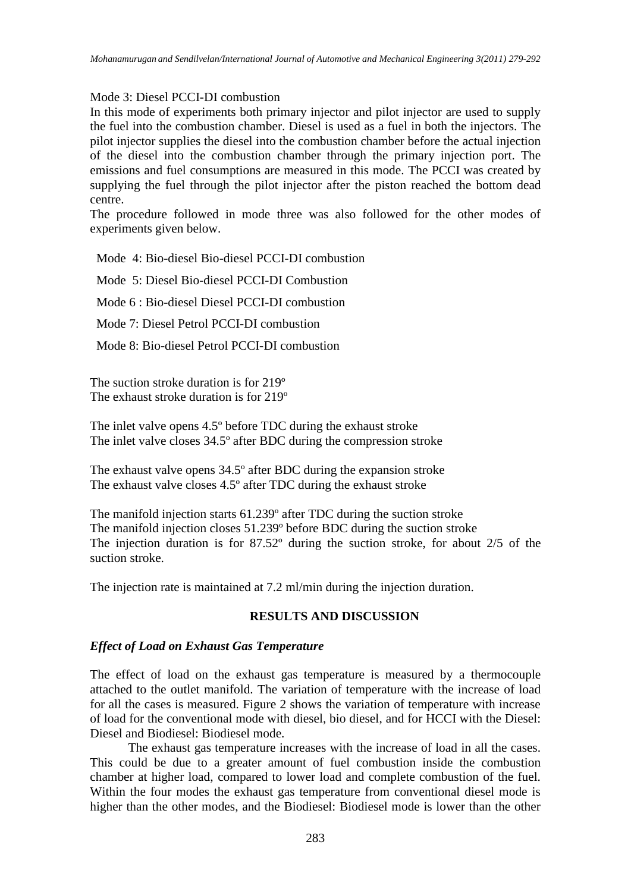### Mode 3: Diesel PCCI-DI combustion

In this mode of experiments both primary injector and pilot injector are used to supply the fuel into the combustion chamber. Diesel is used as a fuel in both the injectors. The pilot injector supplies the diesel into the combustion chamber before the actual injection of the diesel into the combustion chamber through the primary injection port. The emissions and fuel consumptions are measured in this mode. The PCCI was created by supplying the fuel through the pilot injector after the piston reached the bottom dead centre.

The procedure followed in mode three was also followed for the other modes of experiments given below.

Mode 4: Bio-diesel Bio-diesel PCCI-DI combustion

Mode 5: Diesel Bio-diesel PCCI-DI Combustion

Mode 6 : Bio-diesel Diesel PCCI-DI combustion

Mode 7: Diesel Petrol PCCI-DI combustion

Mode 8: Bio-diesel Petrol PCCI-DI combustion

The suction stroke duration is for 219º The exhaust stroke duration is for 219º

The inlet valve opens 4.5º before TDC during the exhaust stroke The inlet valve closes 34.5º after BDC during the compression stroke

The exhaust valve opens 34.5º after BDC during the expansion stroke The exhaust valve closes 4.5º after TDC during the exhaust stroke

The manifold injection starts 61.239º after TDC during the suction stroke The manifold injection closes 51.239º before BDC during the suction stroke The injection duration is for 87.52º during the suction stroke, for about 2/5 of the suction stroke.

The injection rate is maintained at 7.2 ml/min during the injection duration.

## **RESULTS AND DISCUSSION**

### *Effect of Load on Exhaust Gas Temperature*

The effect of load on the exhaust gas temperature is measured by a thermocouple attached to the outlet manifold. The variation of temperature with the increase of load for all the cases is measured. Figure 2 shows the variation of temperature with increase of load for the conventional mode with diesel, bio diesel, and for HCCI with the Diesel: Diesel and Biodiesel: Biodiesel mode.

The exhaust gas temperature increases with the increase of load in all the cases. This could be due to a greater amount of fuel combustion inside the combustion chamber at higher load, compared to lower load and complete combustion of the fuel. Within the four modes the exhaust gas temperature from conventional diesel mode is higher than the other modes, and the Biodiesel: Biodiesel mode is lower than the other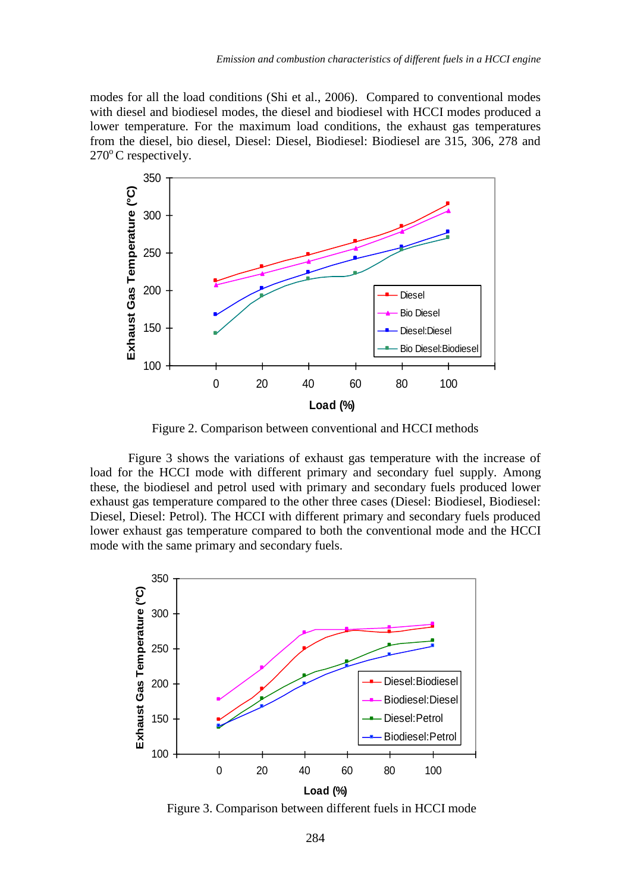modes for all the load conditions (Shi et al., 2006). Compared to conventional modes with diesel and biodiesel modes, the diesel and biodiesel with HCCI modes produced a lower temperature. For the maximum load conditions, the exhaust gas temperatures from the diesel, bio diesel, Diesel: Diesel, Biodiesel: Biodiesel are 315, 306, 278 and  $270^{\circ}$ C respectively.



Figure 2. Comparison between conventional and HCCI methods

Figure 3 shows the variations of exhaust gas temperature with the increase of load for the HCCI mode with different primary and secondary fuel supply. Among these, the biodiesel and petrol used with primary and secondary fuels produced lower exhaust gas temperature compared to the other three cases (Diesel: Biodiesel, Biodiesel: Diesel, Diesel: Petrol). The HCCI with different primary and secondary fuels produced lower exhaust gas temperature compared to both the conventional mode and the HCCI mode with the same primary and secondary fuels.



Figure 3. Comparison between different fuels in HCCI mode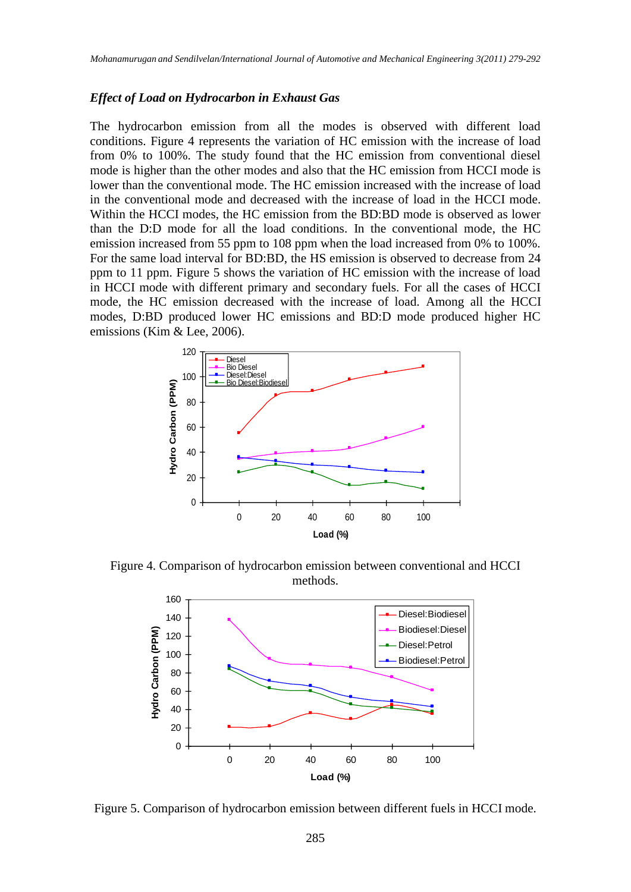#### *Effect of Load on Hydrocarbon in Exhaust Gas*

The hydrocarbon emission from all the modes is observed with different load conditions. Figure 4 represents the variation of HC emission with the increase of load from 0% to 100%. The study found that the HC emission from conventional diesel mode is higher than the other modes and also that the HC emission from HCCI mode is lower than the conventional mode. The HC emission increased with the increase of load in the conventional mode and decreased with the increase of load in the HCCI mode. Within the HCCI modes, the HC emission from the BD:BD mode is observed as lower than the D:D mode for all the load conditions. In the conventional mode, the HC emission increased from 55 ppm to 108 ppm when the load increased from 0% to 100%. For the same load interval for BD:BD, the HS emission is observed to decrease from 24 ppm to 11 ppm. Figure 5 shows the variation of HC emission with the increase of load in HCCI mode with different primary and secondary fuels. For all the cases of HCCI mode, the HC emission decreased with the increase of load. Among all the HCCI modes, D:BD produced lower HC emissions and BD:D mode produced higher HC emissions (Kim & Lee, 2006).



Figure 4. Comparison of hydrocarbon emission between conventional and HCCI methods.



Figure 5. Comparison of hydrocarbon emission between different fuels in HCCI mode.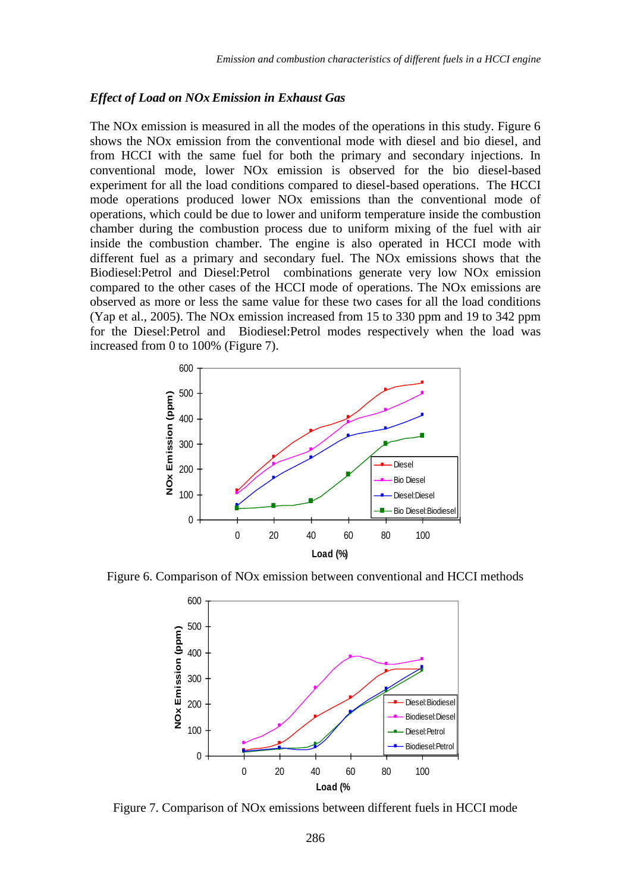#### *Effect of Load on NOx Emission in Exhaust Gas*

The NOx emission is measured in all the modes of the operations in this study. Figure 6 shows the NOx emission from the conventional mode with diesel and bio diesel, and from HCCI with the same fuel for both the primary and secondary injections. In conventional mode, lower NOx emission is observed for the bio diesel-based experiment for all the load conditions compared to diesel-based operations. The HCCI mode operations produced lower NOx emissions than the conventional mode of operations, which could be due to lower and uniform temperature inside the combustion chamber during the combustion process due to uniform mixing of the fuel with air inside the combustion chamber. The engine is also operated in HCCI mode with different fuel as a primary and secondary fuel. The NOx emissions shows that the Biodiesel:Petrol and Diesel:Petrol combinations generate very low NOx emission compared to the other cases of the HCCI mode of operations. The NOx emissions are observed as more or less the same value for these two cases for all the load conditions (Yap et al., 2005). The NOx emission increased from 15 to 330 ppm and 19 to 342 ppm for the Diesel:Petrol and Biodiesel:Petrol modes respectively when the load was increased from 0 to 100% (Figure 7).



Figure 6. Comparison of NOx emission between conventional and HCCI methods



Figure 7. Comparison of NOx emissions between different fuels in HCCI mode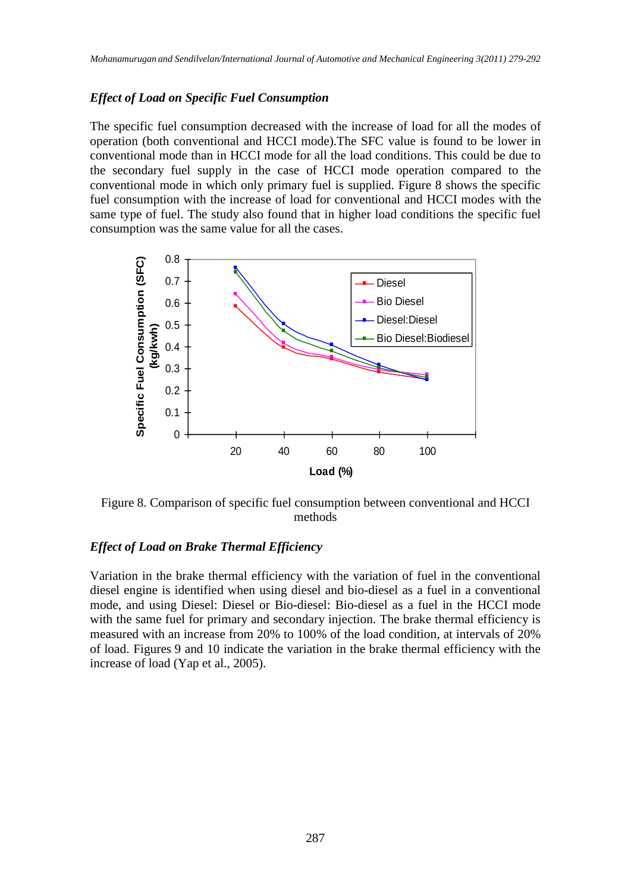## *Effect of Load on Specific Fuel Consumption*

The specific fuel consumption decreased with the increase of load for all the modes of operation (both conventional and HCCI mode).The SFC value is found to be lower in conventional mode than in HCCI mode for all the load conditions. This could be due to the secondary fuel supply in the case of HCCI mode operation compared to the conventional mode in which only primary fuel is supplied. Figure 8 shows the specific fuel consumption with the increase of load for conventional and HCCI modes with the same type of fuel. The study also found that in higher load conditions the specific fuel consumption was the same value for all the cases.



Figure 8. Comparison of specific fuel consumption between conventional and HCCI methods

### *Effect of Load on Brake Thermal Efficiency*

Variation in the brake thermal efficiency with the variation of fuel in the conventional diesel engine is identified when using diesel and bio-diesel as a fuel in a conventional mode, and using Diesel: Diesel or Bio-diesel: Bio-diesel as a fuel in the HCCI mode with the same fuel for primary and secondary injection. The brake thermal efficiency is measured with an increase from 20% to 100% of the load condition, at intervals of 20% of load. Figures 9 and 10 indicate the variation in the brake thermal efficiency with the increase of load (Yap et al., 2005).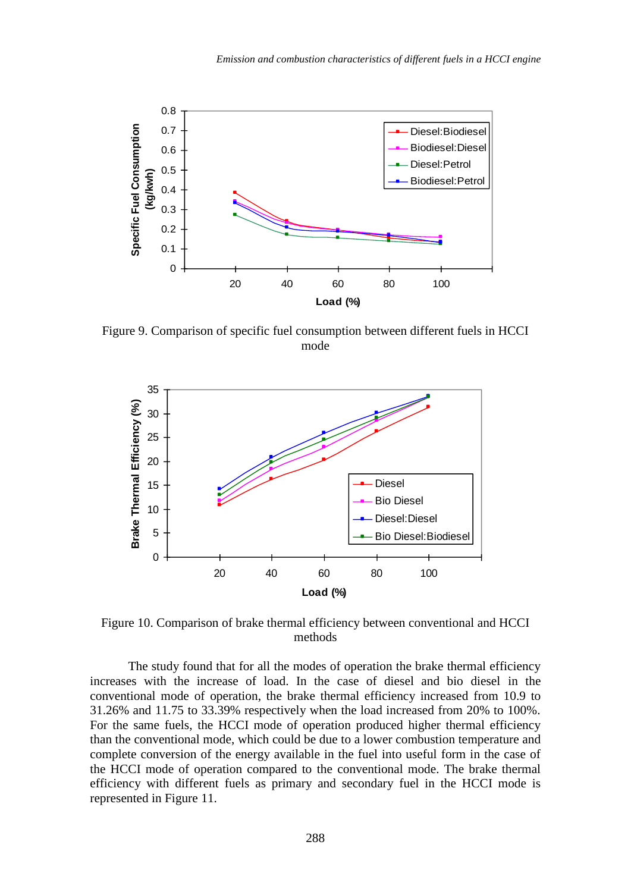

Figure 9. Comparison of specific fuel consumption between different fuels in HCCI mode



Figure 10. Comparison of brake thermal efficiency between conventional and HCCI methods

The study found that for all the modes of operation the brake thermal efficiency increases with the increase of load. In the case of diesel and bio diesel in the conventional mode of operation, the brake thermal efficiency increased from 10.9 to 31.26% and 11.75 to 33.39% respectively when the load increased from 20% to 100%. For the same fuels, the HCCI mode of operation produced higher thermal efficiency than the conventional mode, which could be due to a lower combustion temperature and complete conversion of the energy available in the fuel into useful form in the case of the HCCI mode of operation compared to the conventional mode. The brake thermal efficiency with different fuels as primary and secondary fuel in the HCCI mode is represented in Figure 11.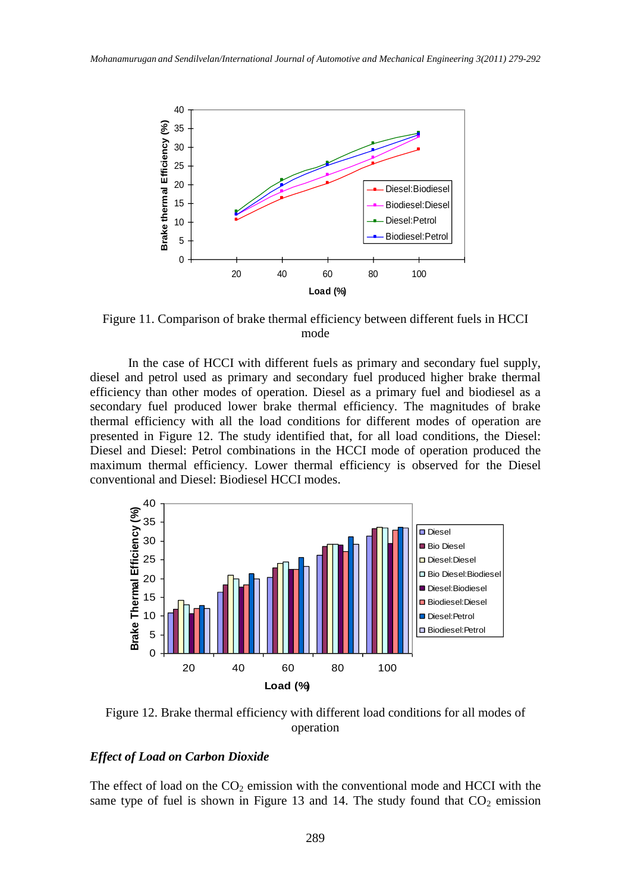

Figure 11. Comparison of brake thermal efficiency between different fuels in HCCI mode

In the case of HCCI with different fuels as primary and secondary fuel supply, diesel and petrol used as primary and secondary fuel produced higher brake thermal efficiency than other modes of operation. Diesel as a primary fuel and biodiesel as a secondary fuel produced lower brake thermal efficiency. The magnitudes of brake thermal efficiency with all the load conditions for different modes of operation are presented in Figure 12. The study identified that, for all load conditions, the Diesel: Diesel and Diesel: Petrol combinations in the HCCI mode of operation produced the maximum thermal efficiency. Lower thermal efficiency is observed for the Diesel conventional and Diesel: Biodiesel HCCI modes.



Figure 12. Brake thermal efficiency with different load conditions for all modes of operation

## *Effect of Load on Carbon Dioxide*

The effect of load on the  $CO<sub>2</sub>$  emission with the conventional mode and HCCI with the same type of fuel is shown in Figure 13 and 14. The study found that  $CO<sub>2</sub>$  emission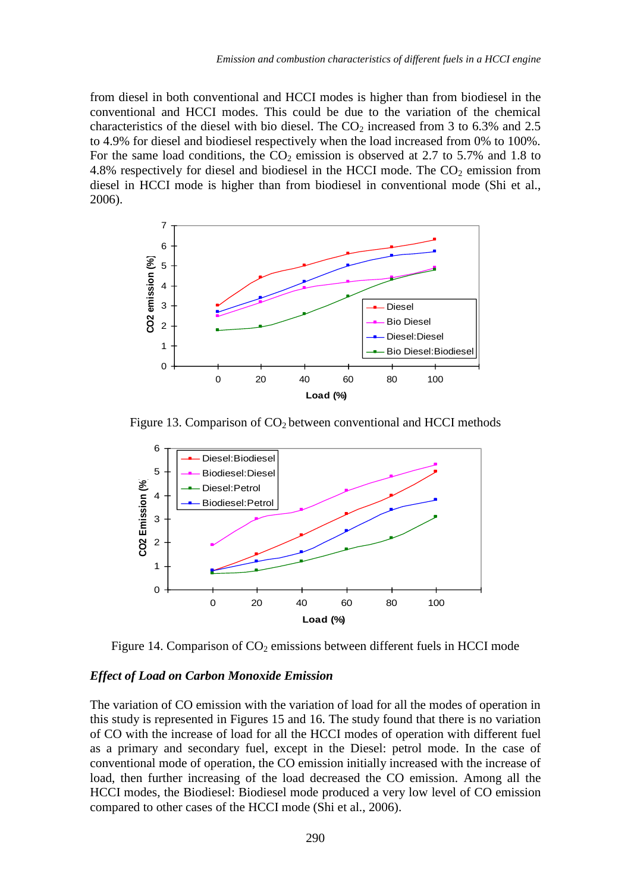from diesel in both conventional and HCCI modes is higher than from biodiesel in the conventional and HCCI modes. This could be due to the variation of the chemical characteristics of the diesel with bio diesel. The  $CO<sub>2</sub>$  increased from 3 to 6.3% and 2.5 to 4.9% for diesel and biodiesel respectively when the load increased from 0% to 100%. For the same load conditions, the  $CO<sub>2</sub>$  emission is observed at 2.7 to 5.7% and 1.8 to 4.8% respectively for diesel and biodiesel in the HCCI mode. The  $CO<sub>2</sub>$  emission from diesel in HCCI mode is higher than from biodiesel in conventional mode (Shi et al., 2006).



Figure 13. Comparison of  $CO<sub>2</sub>$  between conventional and HCCI methods



Figure 14. Comparison of  $CO<sub>2</sub>$  emissions between different fuels in HCCI mode

#### *Effect of Load on Carbon Monoxide Emission*

The variation of CO emission with the variation of load for all the modes of operation in this study is represented in Figures 15 and 16. The study found that there is no variation of CO with the increase of load for all the HCCI modes of operation with different fuel as a primary and secondary fuel, except in the Diesel: petrol mode. In the case of conventional mode of operation, the CO emission initially increased with the increase of load, then further increasing of the load decreased the CO emission. Among all the HCCI modes, the Biodiesel: Biodiesel mode produced a very low level of CO emission compared to other cases of the HCCI mode (Shi et al., 2006).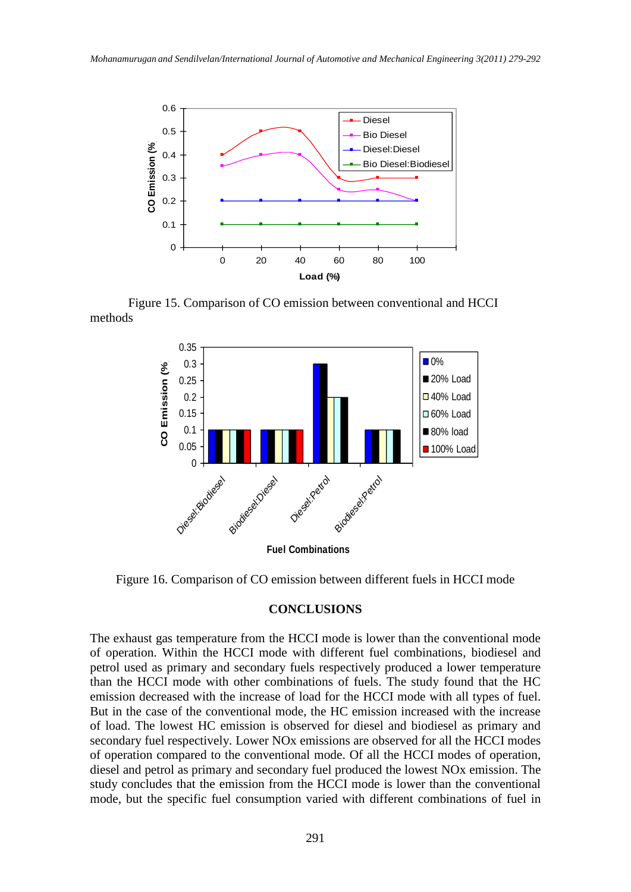

Figure 15. Comparison of CO emission between conventional and HCCI methods



Figure 16. Comparison of CO emission between different fuels in HCCI mode

#### **CONCLUSIONS**

The exhaust gas temperature from the HCCI mode is lower than the conventional mode of operation. Within the HCCI mode with different fuel combinations, biodiesel and petrol used as primary and secondary fuels respectively produced a lower temperature than the HCCI mode with other combinations of fuels. The study found that the HC emission decreased with the increase of load for the HCCI mode with all types of fuel. But in the case of the conventional mode, the HC emission increased with the increase of load. The lowest HC emission is observed for diesel and biodiesel as primary and secondary fuel respectively. Lower NOx emissions are observed for all the HCCI modes of operation compared to the conventional mode. Of all the HCCI modes of operation, diesel and petrol as primary and secondary fuel produced the lowest NOx emission. The study concludes that the emission from the HCCI mode is lower than the conventional mode, but the specific fuel consumption varied with different combinations of fuel in